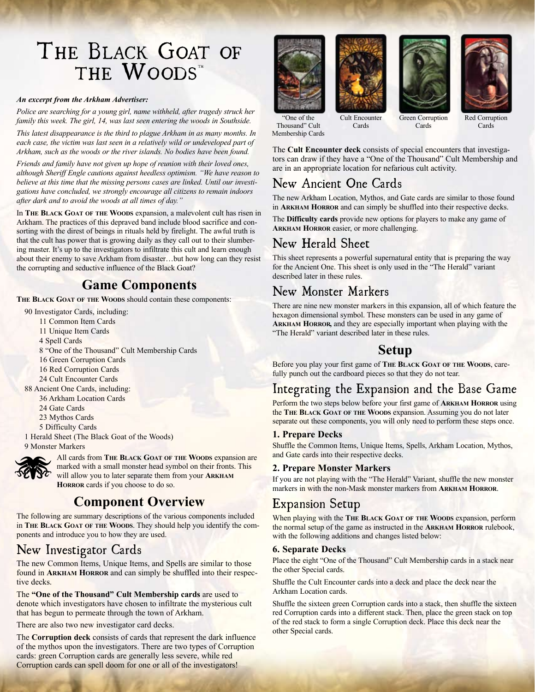# THE BLACK GOAT OF THE WOODS"

#### *An excerpt from the Arkham Advertiser:*

*Police are searching for a young girl, name withheld, after tragedy struck her family this week. The girl, 14, was last seen entering the woods in Southside.* 

*This latest disappearance is the third to plague Arkham in as many months. In each case, the victim was last seen in a relatively wild or undeveloped part of Arkham, such as the woods or the river islands. No bodies have been found.* 

*Friends and family have not given up hope of reunion with their loved ones, although Sheriff Engle cautions against heedless optimism. "We have reason to believe at this time that the missing persons cases are linked. Until our investigations have concluded, we strongly encourage all citizens to remain indoors after dark and to avoid the woods at all times of day."* 

In **The Black Goat of the Woods** expansion, a malevolent cult has risen in Arkham. The practices of this depraved band include blood sacrifice and consorting with the direst of beings in rituals held by firelight. The awful truth is that the cult has power that is growing daily as they call out to their slumbering master. It's up to the investigators to infiltrate this cult and learn enough about their enemy to save Arkham from disaster…but how long can they resist the corrupting and seductive influence of the Black Goat?

### **Game Components**

**The Black Goat of the Woods** should contain these components:

90 Investigator Cards, including:

11 Common Item Cards 11 Unique Item Cards 4 Spell Cards 8 "One of the Thousand" Cult Membership Cards 16 Green Corruption Cards 16 Red Corruption Cards 24 Cult Encounter Cards 88 Ancient One Cards, including: 36 Arkham Location Cards 24 Gate Cards 23 Mythos Cards 5 Difficulty Cards 1 Herald Sheet (The Black Goat of the Woods)

9 Monster Markers



All cards from **The Black Goat of the Woods** expansion are marked with a small monster head symbol on their fronts. This will allow you to later separate them from your **Arkham Horror** cards if you choose to do so.

# **Component Overview**

The following are summary descriptions of the various components included in **The Black Goat of the Woods**. They should help you identify the components and introduce you to how they are used.

### New Investigator Cards

The new Common Items, Unique Items, and Spells are similar to those found in **Arkham Horror** and can simply be shuffled into their respective decks.

The **"One of the Thousand" Cult Membership cards** are used to denote which investigators have chosen to infiltrate the mysterious cult that has begun to permeate through the town of Arkham.

There are also two new investigator card decks.

The **Corruption deck** consists of cards that represent the dark influence of the mythos upon the investigators. There are two types of Corruption cards: green Corruption cards are generally less severe, while red Corruption cards can spell doom for one or all of the investigators!





Cards





"One of the Thousand" Cult Membership Cards

Cult Encounter Green Corruption Cards

Red Corruption **Cards** 

The **Cult Encounter deck** consists of special encounters that investigators can draw if they have a "One of the Thousand" Cult Membership and are in an appropriate location for nefarious cult activity.

# New Ancient One Cards

The new Arkham Location, Mythos, and Gate cards are similar to those found in **Arkham Horror** and can simply be shuffled into their respective decks.

The **Difficulty cards** provide new options for players to make any game of **Arkham Horror** easier, or more challenging.

# New Herald Sheet

This sheet represents a powerful supernatural entity that is preparing the way for the Ancient One. This sheet is only used in the "The Herald" variant described later in these rules.

### New Monster Markers

There are nine new monster markers in this expansion, all of which feature the hexagon dimensional symbol. These monsters can be used in any game of **Arkham Horror,** and they are especially important when playing with the "The Herald" variant described later in these rules.

### **Setup**

Before you play your first game of **The Black Goat of the Woods**, carefully punch out the cardboard pieces so that they do not tear.

# Integrating the Expansion and the Base Game

Perform the two steps below before your first game of **Arkham Horror** using the **The Black Goat of the Woods** expansion. Assuming you do not later separate out these components, you will only need to perform these steps once.

#### **1. Prepare Decks**

Shuffle the Common Items, Unique Items, Spells, Arkham Location, Mythos, and Gate cards into their respective decks.

#### **2. Prepare Monster Markers**

If you are not playing with the "The Herald" Variant, shuffle the new monster markers in with the non-Mask monster markers from **Arkham Horror**.

# Expansion Setup

When playing with the **The Black Goat of the Woods** expansion, perform the normal setup of the game as instructed in the **Arkham Horror** rulebook, with the following additions and changes listed below:

#### **6. Separate Decks**

Place the eight "One of the Thousand" Cult Membership cards in a stack near the other Special cards.

Shuffle the Cult Encounter cards into a deck and place the deck near the Arkham Location cards.

Shuffle the sixteen green Corruption cards into a stack, then shuffle the sixteen red Corruption cards into a different stack. Then, place the green stack on top of the red stack to form a single Corruption deck. Place this deck near the other Special cards.